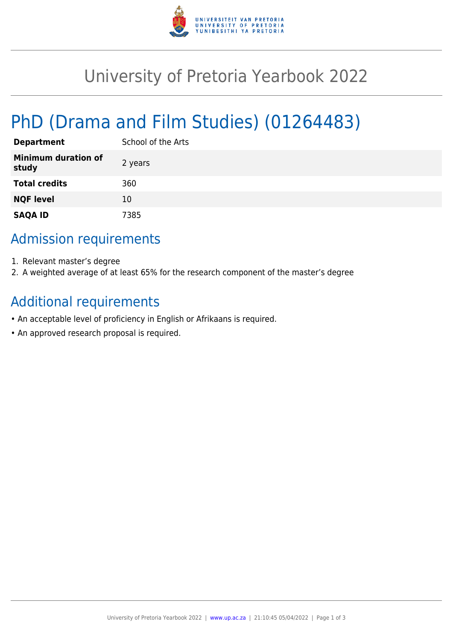

## University of Pretoria Yearbook 2022

# PhD (Drama and Film Studies) (01264483)

| <b>Department</b>                   | School of the Arts |
|-------------------------------------|--------------------|
| <b>Minimum duration of</b><br>study | 2 years            |
| <b>Total credits</b>                | 360                |
| <b>NQF level</b>                    | 10                 |
| <b>SAQA ID</b>                      | 7385               |

### Admission requirements

- 1. Relevant master's degree
- 2. A weighted average of at least 65% for the research component of the master's degree

#### Additional requirements

- An acceptable level of proficiency in English or Afrikaans is required.
- An approved research proposal is required.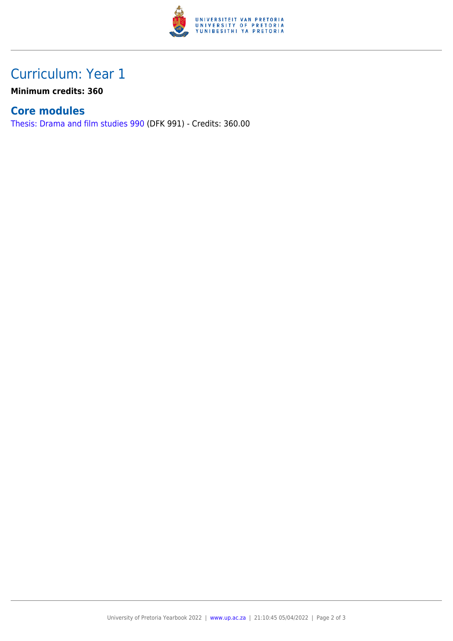

## Curriculum: Year 1

**Minimum credits: 360**

#### **Core modules**

[Thesis: Drama and film studies 990](https://www.up.ac.za/yearbooks/2022/modules/view/DFK 991) (DFK 991) - Credits: 360.00